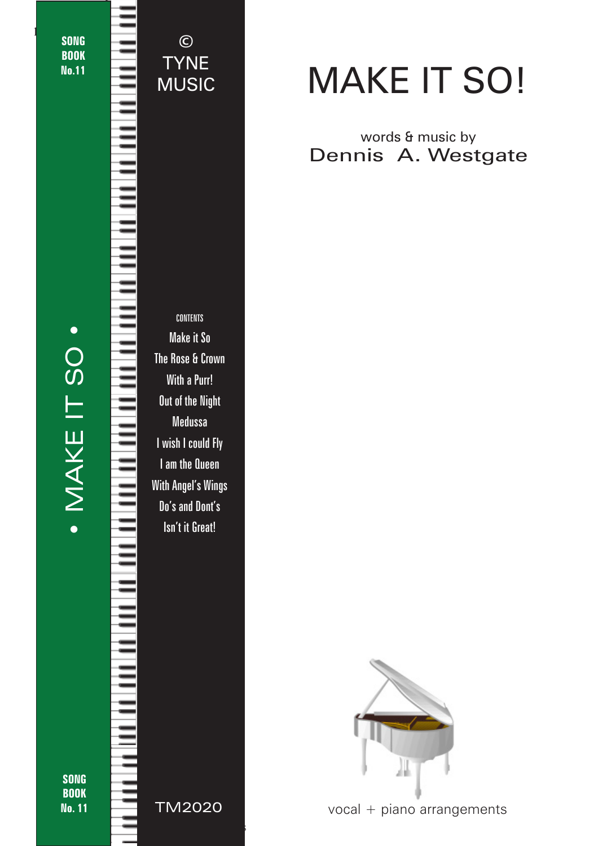**SONG BOOK** No.11

1

TYNE MUSIC

©

# · MAKE IT SO · • MAKE IT SO •

CONTENTS Make it So The Rose & Crown With a Purr! Out of the Night Medussa I wish I could Fly I am the Queen With Angel's Wings Do's and Dont's Isn't it Great!

SONG **BOOK** No. 11

## MAKE IT SO!

#### words & music by Dennis A. Westgate



vocal + piano arrangements

TM2020

© 2018 - Make it So - TYNE MUSIC - tynemusiclimited@gmail.com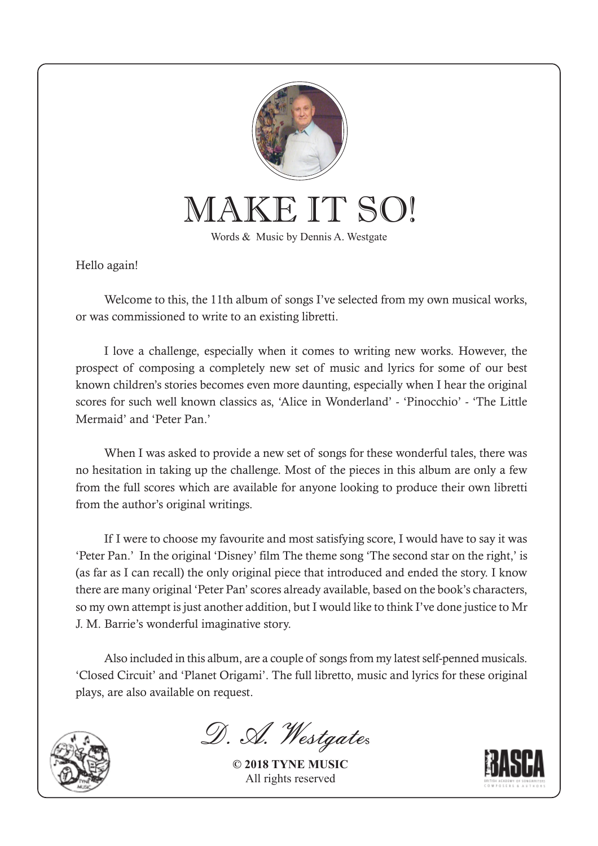

MAKE IT SO!

Words & Music by Dennis A. Westgate

Hello again!

Welcome to this, the 11th album of songs I've selected from my own musical works, or was commissioned to write to an existing libretti.

I love a challenge, especially when it comes to writing new works. However, the prospect of composing a completely new set of music and lyrics for some of our best known children's stories becomes even more daunting, especially when I hear the original scores for such well known classics as, 'Alice in Wonderland' - 'Pinocchio' - 'The Little Mermaid' and 'Peter Pan.'

When I was asked to provide a new set of songs for these wonderful tales, there was no hesitation in taking up the challenge. Most of the pieces in this album are only a few from the full scores which are available for anyone looking to produce their own libretti from the author's original writings.

If I were to choose my favourite and most satisfying score, I would have to say it was 'Peter Pan.' In the original 'Disney' film The theme song 'The second star on the right,' is (as far as I can recall) the only original piece that introduced and ended the story. I know there are many original 'Peter Pan' scores already available, based on the book's characters, so my own attempt is just another addition, but I would like to think I've done justice to Mr J. M. Barrie's wonderful imaginative story.

Also included in this album, are a couple of songs from my latest self-penned musicals. 'Closed Circuit' and 'Planet Origami'. The full libretto, music and lyrics for these original plays, are also available on request.



D. A. Westgates

**© 2018 TYNE MUSIC** All rights reserved

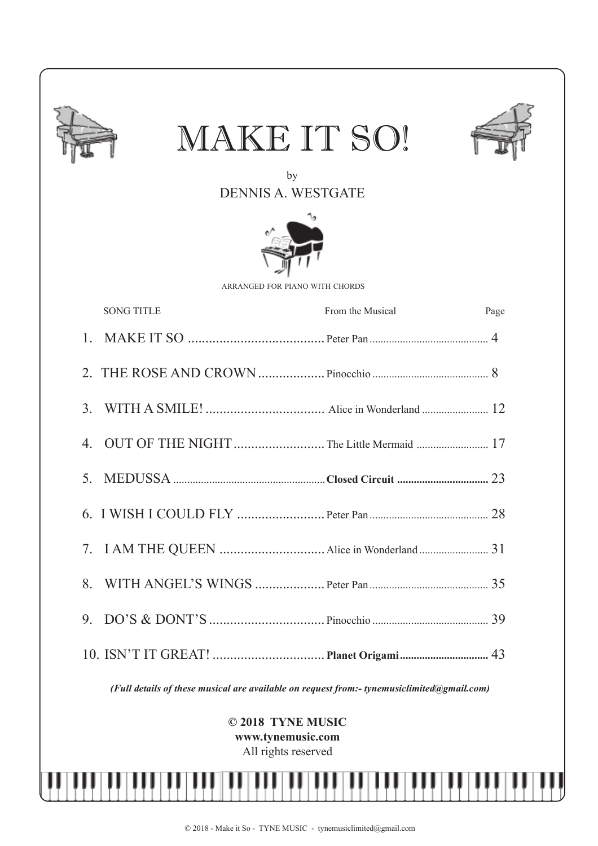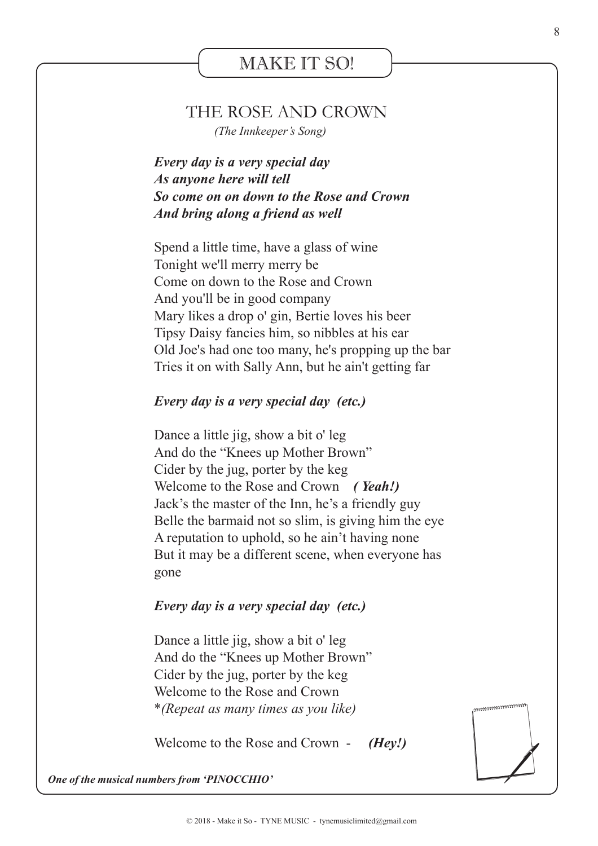#### MAKE IT SO!

#### THE ROSE AND CROWN

 *(The Innkeeper's Song)*

*Every day is a very special day As anyone here will tell So come on on down to the Rose and Crown And bring along a friend as well*

Spend a little time, have a glass of wine Tonight we'll merry merry be Come on down to the Rose and Crown And you'll be in good company Mary likes a drop o' gin, Bertie loves his beer Tipsy Daisy fancies him, so nibbles at his ear Old Joe's had one too many, he's propping up the bar Tries it on with Sally Ann, but he ain't getting far

#### *Every day is a very special day (etc.)*

Dance a little jig, show a bit o' leg And do the "Knees up Mother Brown" Cider by the jug, porter by the keg Welcome to the Rose and Crown *( Yeah!)* Jack's the master of the Inn, he's a friendly guy Belle the barmaid not so slim, is giving him the eye A reputation to uphold, so he ain't having none But it may be a different scene, when everyone has gone

#### *Every day is a very special day (etc.)*

Dance a little jig, show a bit o' leg And do the "Knees up Mother Brown" Cider by the jug, porter by the keg Welcome to the Rose and Crown \**(Repeat as many times as you like)*

Welcome to the Rose and Crown - *(Hey!)*

*One of the musical numbers from 'PINOCCHIO'*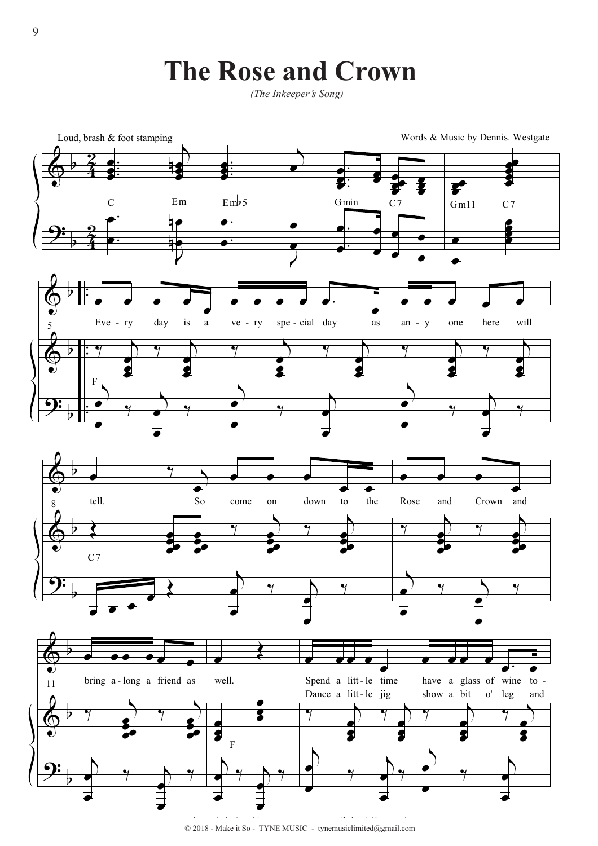### **The Rose and Crown**

*(The Inkeeper's Song)*



 $© 2018$  - Make it So - TYNE MUSIC - tynemusiclimited@gmail.com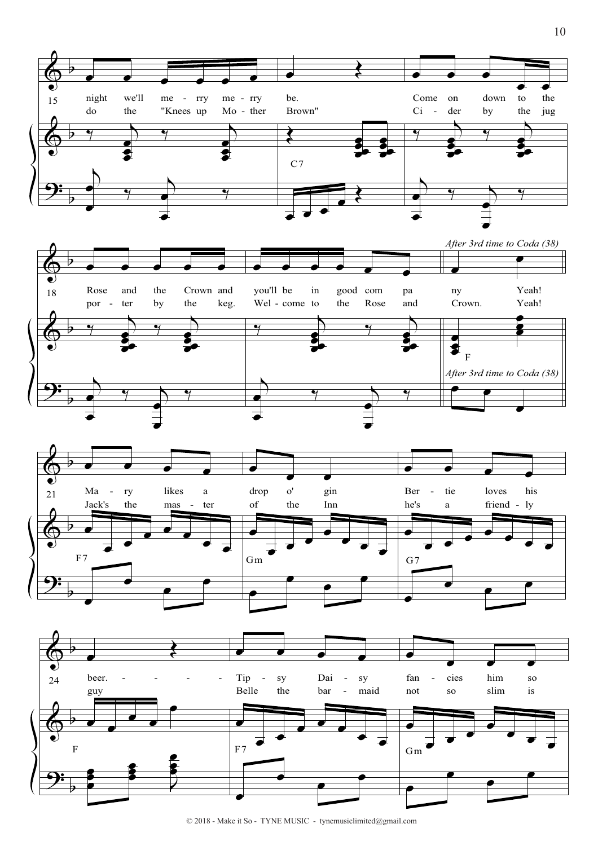



![](_page_5_Figure_2.jpeg)

![](_page_5_Figure_3.jpeg)